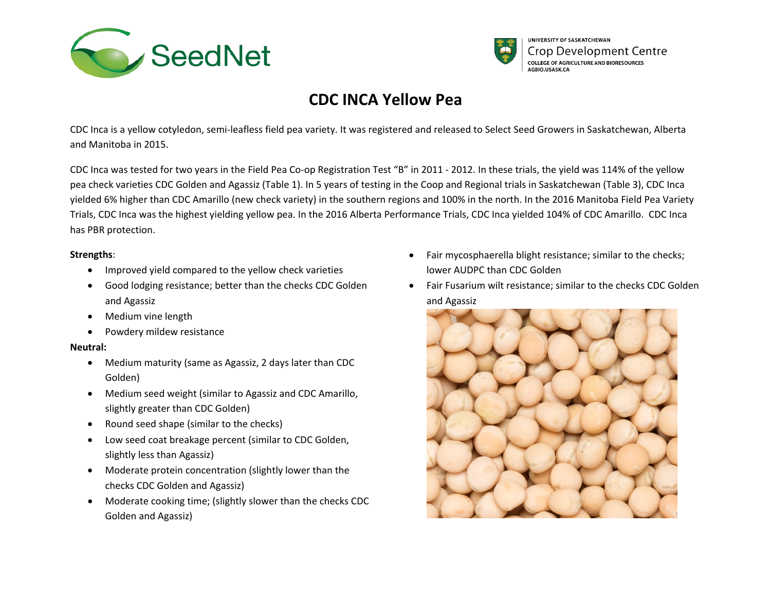



# **CDC INCA Yellow Pea**

CDC Inca is a yellow cotyledon, semi-leafless field pea variety. It was registered and released to Select Seed Growers in Saskatchewan, Alberta and Manitoba in 2015.

CDC Inca was tested for two years in the Field Pea Co-op Registration Test "B" in 2011 - 2012. In these trials, the yield was 114% of the yellow pea check varieties CDC Golden and Agassiz (Table 1). In 5 years of testing in the Coop and Regional trials in Saskatchewan (Table 3), CDC Inca yielded 6% higher than CDC Amarillo (new check variety) in the southern regions and 100% in the north. In the 2016 Manitoba Field Pea Variety Trials, CDC Inca was the highest yielding yellow pea. In the 2016 Alberta Performance Trials, CDC Inca yielded 104% of CDC Amarillo. CDC Inca has PBR protection.

# **Strengths**:

- Improved yield compared to the yellow check varieties
- Good lodging resistance; better than the checks CDC Golden and Agassiz
- Medium vine length
- Powdery mildew resistance

# **Neutral:**

- Medium maturity (same as Agassiz, 2 days later than CDC Golden)
- Medium seed weight (similar to Agassiz and CDC Amarillo, slightly greater than CDC Golden)
- Round seed shape (similar to the checks)
- Low seed coat breakage percent (similar to CDC Golden, slightly less than Agassiz)
- Moderate protein concentration (slightly lower than the checks CDC Golden and Agassiz)
- Moderate cooking time; (slightly slower than the checks CDC Golden and Agassiz)
- Fair mycosphaerella blight resistance; similar to the checks; lower AUDPC than CDC Golden
- Fair Fusarium wilt resistance; similar to the checks CDC Golden and Agassiz

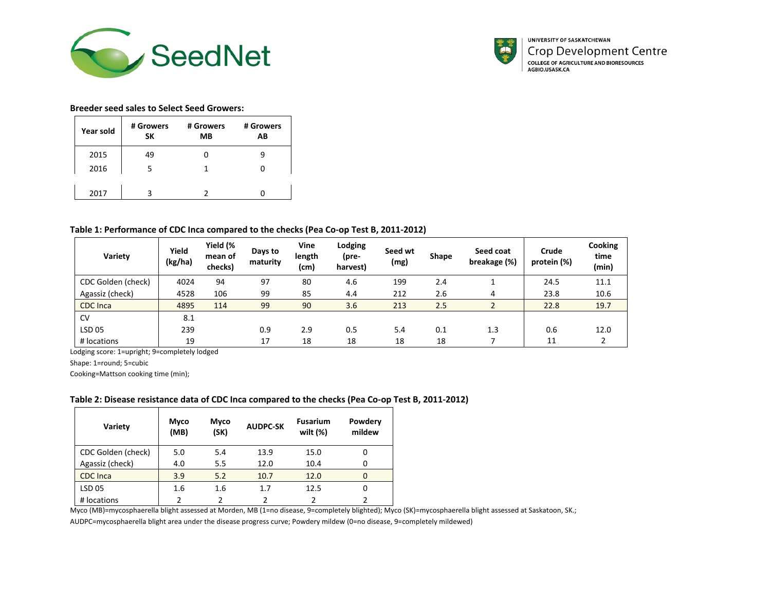



#### **Breeder seed sales to Select Seed Growers:**

| Year sold | # Growers<br><b>SK</b> | # Growers<br>MВ | # Growers<br>AВ |  |  |  |  |
|-----------|------------------------|-----------------|-----------------|--|--|--|--|
| 2015      | 49                     |                 |                 |  |  |  |  |
| 2016      | 5                      | 1               |                 |  |  |  |  |
| 2017      | ঽ                      |                 |                 |  |  |  |  |

## **Table 1: Performance of CDC Inca compared to the checks (Pea Co-op Test B, 2011-2012)**

| Variety            | Yield<br>(kg/ha) | Yield (%<br>mean of<br>checks) | Days to<br>maturity | Vine<br>length<br>(cm) | Lodging<br>(pre-<br>harvest) | Seed wt<br>(mg) | Shape | Seed coat<br>breakage (%) | Crude<br>protein (%) | Cooking<br>time<br>(min) |
|--------------------|------------------|--------------------------------|---------------------|------------------------|------------------------------|-----------------|-------|---------------------------|----------------------|--------------------------|
| CDC Golden (check) | 4024             | 94                             | 97                  | 80                     | 4.6                          | 199             | 2.4   |                           | 24.5                 | 11.1                     |
| Agassiz (check)    | 4528             | 106                            | 99                  | 85                     | 4.4                          | 212             | 2.6   | 4                         | 23.8                 | 10.6                     |
| <b>CDC</b> Inca    | 4895             | 114                            | 99                  | 90                     | 3.6                          | 213             | 2.5   |                           | 22.8                 | 19.7                     |
| <b>CV</b>          | 8.1              |                                |                     |                        |                              |                 |       |                           |                      |                          |
| <b>LSD 05</b>      | 239              |                                | 0.9                 | 2.9                    | 0.5                          | 5.4             | 0.1   | 1.3                       | 0.6                  | 12.0                     |
| # locations        | 19               |                                | 17                  | 18                     | 18                           | 18              | 18    |                           | 11                   |                          |

Lodging score: 1=upright; 9=completely lodged

Shape: 1=round; 5=cubic

Cooking=Mattson cooking time (min);

## **Table 2: Disease resistance data of CDC Inca compared to the checks (Pea Co-op Test B, 2011-2012)**

| Variety            | Myco<br>(MB) | <b>Myco</b><br>(SK) | <b>AUDPC-SK</b> | <b>Fusarium</b><br>wilt $(\%)$ | Powdery<br>mildew |
|--------------------|--------------|---------------------|-----------------|--------------------------------|-------------------|
| CDC Golden (check) | 5.0          | 5.4                 | 13.9            | 15.0                           |                   |
| Agassiz (check)    | 4.0          | 5.5                 | 12.0            | 10.4                           |                   |
| <b>CDC</b> Inca    | 3.9          | 5.2                 | 10.7            | 12.0                           |                   |
| <b>LSD 05</b>      | 1.6          | 1.6                 | 1.7             | 12.5                           |                   |
| # locations        | 2            | 2                   |                 |                                |                   |

Myco (MB)=mycosphaerella blight assessed at Morden, MB (1=no disease, 9=completely blighted); Myco (SK)=mycosphaerella blight assessed at Saskatoon, SK.;

AUDPC=mycosphaerella blight area under the disease progress curve; Powdery mildew (0=no disease, 9=completely mildewed)